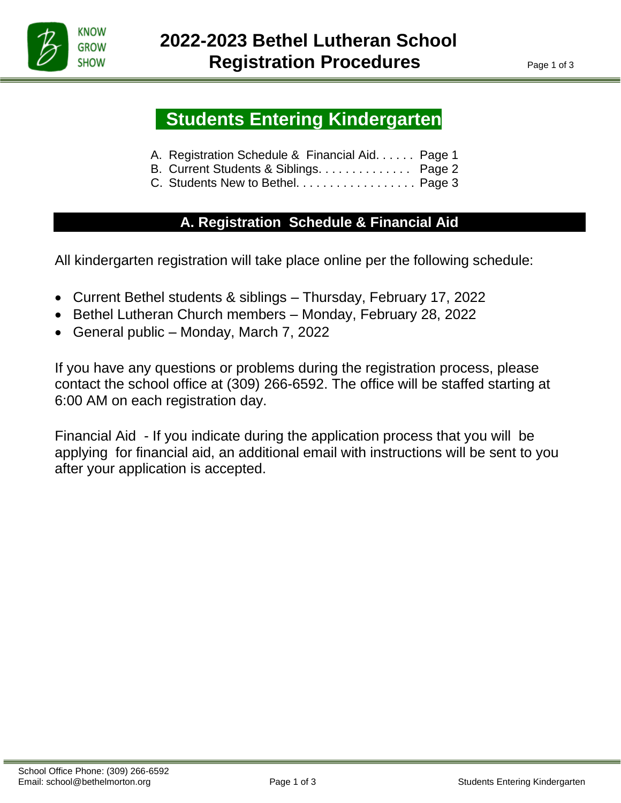

İ

# **Students Entering Kindergarten**

- A. Registration Schedule & Financial Aid. . . . . . Page 1
- B. Current Students & Siblings. . . . . . . . . . . . . . Page 2
- C. Students New to Bethel. . . . . . . . . . . . . . . . . . Page 3

# **A. Registration Schedule & Financial Aid**

All kindergarten registration will take place online per the following schedule:

- Current Bethel students & siblings Thursday, February 17, 2022
- Bethel Lutheran Church members Monday, February 28, 2022
- General public Monday, March 7, 2022

If you have any questions or problems during the registration process, please contact the school office at (309) 266-6592. The office will be staffed starting at 6:00 AM on each registration day.

Financial Aid - If you indicate during the application process that you will be applying for financial aid, an additional email with instructions will be sent to you after your application is accepted.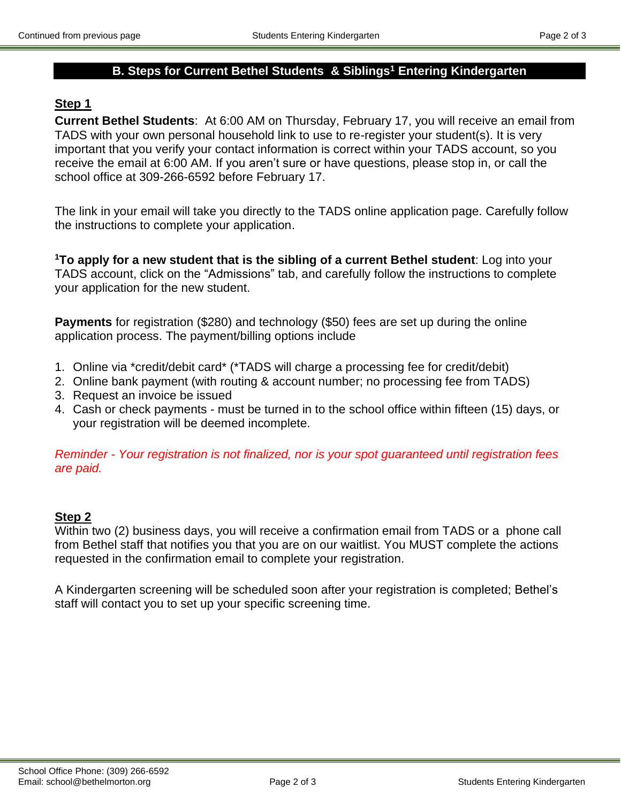# **B. Steps for Current Bethel Students & Siblings<sup>1</sup> Entering Kindergarten**

## **Step 1**

**Current Bethel Students**: At 6:00 AM on Thursday, February 17, you will receive an email from TADS with your own personal household link to use to re-register your student(s). It is very important that you verify your contact information is correct within your TADS account, so you receive the email at 6:00 AM. If you aren't sure or have questions, please stop in, or call the school office at 309-266-6592 before February 17.

The link in your email will take you directly to the TADS online application page. Carefully follow the instructions to complete your application.

**<sup>1</sup>To apply for a new student that is the sibling of a current Bethel student**: Log into your TADS account, click on the "Admissions" tab, and carefully follow the instructions to complete your application for the new student.

**Payments** for registration (\$280) and technology (\$50) fees are set up during the online application process. The payment/billing options include

- 1. Online via \*credit/debit card\* (\*TADS will charge a processing fee for credit/debit)
- 2. Online bank payment (with routing & account number; no processing fee from TADS)
- 3. Request an invoice be issued
- 4. Cash or check payments must be turned in to the school office within fifteen (15) days, or your registration will be deemed incomplete.

*Reminder - Your registration is not finalized, nor is your spot guaranteed until registration fees are paid.*

# **Step 2**

Within two (2) business days, you will receive a confirmation email from TADS or a phone call from Bethel staff that notifies you that you are on our waitlist. You MUST complete the actions requested in the confirmation email to complete your registration.

A Kindergarten screening will be scheduled soon after your registration is completed; Bethel's staff will contact you to set up your specific screening time.